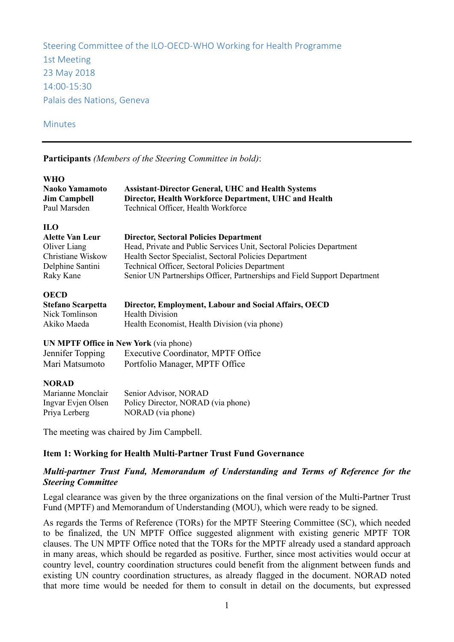Steering Committee of the ILO-OECD-WHO Working for Health Programme 1st Meeting 23 May 2018 14:00-15:30 Palais des Nations, Geneva

#### Minutes

**Participants** *(Members of the Steering Committee in bold)*:

| <b>WHO</b><br><b>Naoko Yamamoto</b><br><b>Jim Campbell</b><br>Paul Marsden | <b>Assistant-Director General, UHC and Health Systems</b><br>Director, Health Workforce Department, UHC and Health<br>Technical Officer, Health Workforce |
|----------------------------------------------------------------------------|-----------------------------------------------------------------------------------------------------------------------------------------------------------|
| <b>ILO</b>                                                                 |                                                                                                                                                           |
| <b>Alette Van Leur</b>                                                     | <b>Director, Sectoral Policies Department</b>                                                                                                             |
| Oliver Liang<br>Christiane Wiskow                                          | Head, Private and Public Services Unit, Sectoral Policies Department<br>Health Sector Specialist, Sectoral Policies Department                            |
| Delphine Santini                                                           | Technical Officer, Sectoral Policies Department                                                                                                           |
| Raky Kane                                                                  | Senior UN Partnerships Officer, Partnerships and Field Support Department                                                                                 |
| <b>OECD</b>                                                                |                                                                                                                                                           |
| <b>Stefano Scarpetta</b><br>Nick Tomlinson                                 | Director, Employment, Labour and Social Affairs, OECD<br><b>Health Division</b>                                                                           |
| Akiko Maeda                                                                | Health Economist, Health Division (via phone)                                                                                                             |
| <b>UN MPTF Office in New York (via phone)</b>                              |                                                                                                                                                           |
| Jennifer Topping                                                           | Executive Coordinator, MPTF Office                                                                                                                        |
| Mari Matsumoto                                                             | Portfolio Manager, MPTF Office                                                                                                                            |
|                                                                            |                                                                                                                                                           |
| <b>NORAD</b>                                                               |                                                                                                                                                           |
| Marianne Monclair                                                          | Senior Advisor, NORAD                                                                                                                                     |
| Ingvar Evjen Olsen                                                         | Policy Director, NORAD (via phone)                                                                                                                        |
| Priya Lerberg                                                              | NORAD (via phone)                                                                                                                                         |
|                                                                            | The meeting was chaired by Jim Campbell.                                                                                                                  |

### **Item 1: Working for Health Multi-Partner Trust Fund Governance**

## *Multi-partner Trust Fund, Memorandum of Understanding and Terms of Reference for the Steering Committee*

Legal clearance was given by the three organizations on the final version of the Multi-Partner Trust Fund (MPTF) and Memorandum of Understanding (MOU), which were ready to be signed.

As regards the Terms of Reference (TORs) for the MPTF Steering Committee (SC), which needed to be finalized, the UN MPTF Office suggested alignment with existing generic MPTF TOR clauses. The UN MPTF Office noted that the TORs for the MPTF already used a standard approach in many areas, which should be regarded as positive. Further, since most activities would occur at country level, country coordination structures could benefit from the alignment between funds and existing UN country coordination structures, as already flagged in the document. NORAD noted that more time would be needed for them to consult in detail on the documents, but expressed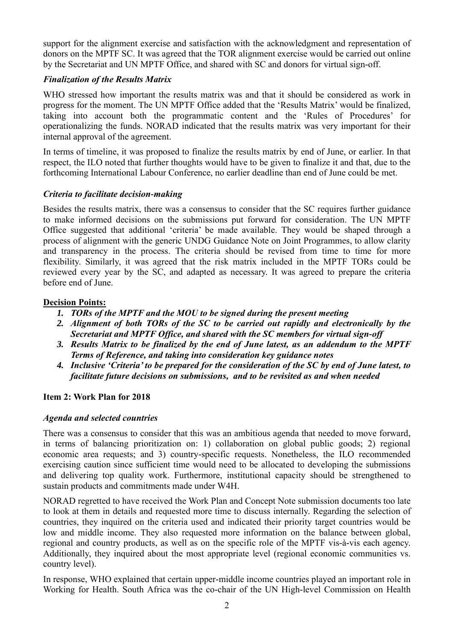support for the alignment exercise and satisfaction with the acknowledgment and representation of donors on the MPTF SC. It was agreed that the TOR alignment exercise would be carried out online by the Secretariat and UN MPTF Office, and shared with SC and donors for virtual sign-off.

## *Finalization of the Results Matrix*

WHO stressed how important the results matrix was and that it should be considered as work in progress for the moment. The UN MPTF Office added that the 'Results Matrix' would be finalized, taking into account both the programmatic content and the 'Rules of Procedures' for operationalizing the funds. NORAD indicated that the results matrix was very important for their internal approval of the agreement.

In terms of timeline, it was proposed to finalize the results matrix by end of June, or earlier. In that respect, the ILO noted that further thoughts would have to be given to finalize it and that, due to the forthcoming International Labour Conference, no earlier deadline than end of June could be met.

## *Criteria to facilitate decision-making*

Besides the results matrix, there was a consensus to consider that the SC requires further guidance to make informed decisions on the submissions put forward for consideration. The UN MPTF Office suggested that additional 'criteria' be made available. They would be shaped through a process of alignment with the generic UNDG Guidance Note on Joint Programmes, to allow clarity and transparency in the process. The criteria should be revised from time to time for more flexibility. Similarly, it was agreed that the risk matrix included in the MPTF TORs could be reviewed every year by the SC, and adapted as necessary. It was agreed to prepare the criteria before end of June.

## **Decision Points:**

- *1. TORs of the MPTF and the MOU to be signed during the present meeting*
- *2. Alignment of both TORs of the SC to be carried out rapidly and electronically by the Secretariat and MPTF Office, and shared with the SC members for virtual sign-off*
- *3. Results Matrix to be finalized by the end of June latest, as an addendum to the MPTF Terms of Reference, and taking into consideration key guidance notes*
- *4. Inclusive 'Criteria' to be prepared for the consideration of the SC by end of June latest, to facilitate future decisions on submissions, and to be revisited as and when needed*

# **Item 2: Work Plan for 2018**

### *Agenda and selected countries*

There was a consensus to consider that this was an ambitious agenda that needed to move forward, in terms of balancing prioritization on: 1) collaboration on global public goods; 2) regional economic area requests; and 3) country-specific requests. Nonetheless, the ILO recommended exercising caution since sufficient time would need to be allocated to developing the submissions and delivering top quality work. Furthermore, institutional capacity should be strengthened to sustain products and commitments made under W4H.

NORAD regretted to have received the Work Plan and Concept Note submission documents too late to look at them in details and requested more time to discuss internally. Regarding the selection of countries, they inquired on the criteria used and indicated their priority target countries would be low and middle income. They also requested more information on the balance between global, regional and country products, as well as on the specific role of the MPTF vis-à-vis each agency. Additionally, they inquired about the most appropriate level (regional economic communities vs. country level).

In response, WHO explained that certain upper-middle income countries played an important role in Working for Health. South Africa was the co-chair of the UN High-level Commission on Health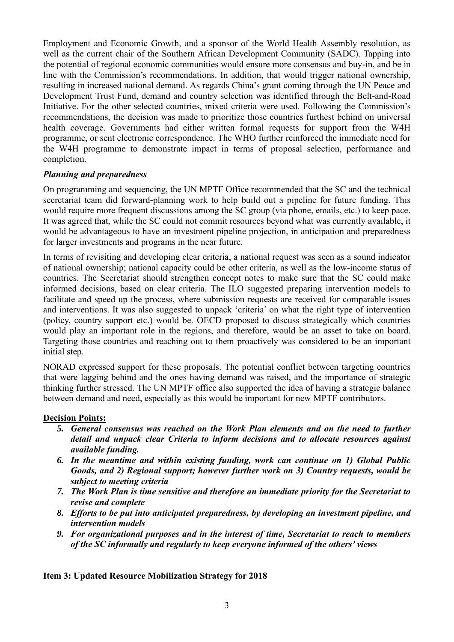Employment and Economic Growth, and a sponsor of the World Health Assembly resolution, as well as the current chair of the Southern African Development Community (SADC). Tapping into the potential of regional economic communities would ensure more consensus and buy-in, and be in line with the Commission's recommendations. In addition, that would trigger national ownership, resulting in increased national demand. As regards China's grant coming through the UN Peace and Development Trust Fund, demand and country selection was identified through the Belt-and-Road Initiative. For the other selected countries, mixed criteria were used. Following the Commission's recommendations, the decision was made to prioritize those countries furthest behind on universal health coverage. Governments had either written formal requests for support from the W4H programme, or sent electronic correspondence. The WHO further reinforced the immediate need for the W4H programme to demonstrate impact in terms of proposal selection, performance and completion.

## *Planning and preparedness*

On programming and sequencing, the UN MPTF Office recommended that the SC and the technical secretariat team did forward-planning work to help build out a pipeline for future funding. This would require more frequent discussions among the SC group (via phone, emails, etc.) to keep pace. It was agreed that, while the SC could not commit resources beyond what was currently available, it would be advantageous to have an investment pipeline projection, in anticipation and preparedness for larger investments and programs in the near future.

In terms of revisiting and developing clear criteria, a national request was seen as a sound indicator of national ownership; national capacity could be other criteria, as well as the low-income status of countries. The Secretariat should strengthen concept notes to make sure that the SC could make informed decisions, based on clear criteria. The ILO suggested preparing intervention models to facilitate and speed up the process, where submission requests are received for comparable issues and interventions. It was also suggested to unpack 'criteria' on what the right type of intervention (policy, country support etc.) would be. OECD proposed to discuss strategically which countries would play an important role in the regions, and therefore, would be an asset to take on board. Targeting those countries and reaching out to them proactively was considered to be an important initial step.

NORAD expressed support for these proposals. The potential conflict between targeting countries that were lagging behind and the ones having demand was raised, and the importance of strategic thinking further stressed. The UN MPTF office also supported the idea of having a strategic balance between demand and need, especially as this would be important for new MPTF contributors.

### **Decision Points:**

- *5. General consensus was reached on the Work Plan elements and on the need to further detail and unpack clear Criteria to inform decisions and to allocate resources against available funding.*
- *6. In the meantime and within existing funding, work can continue on 1) Global Public Goods, and 2) Regional support; however further work on 3) Country requests, would be subject to meeting criteria*
- *7. The Work Plan is time sensitive and therefore an immediate priority for the Secretariat to revise and complete*
- *8. Efforts to be put into anticipated preparedness, by developing an investment pipeline, and intervention models*
- *9. For organizational purposes and in the interest of time, Secretariat to reach to members of the SC informally and regularly to keep everyone informed of the others' views*

**Item 3: Updated Resource Mobilization Strategy for 2018**